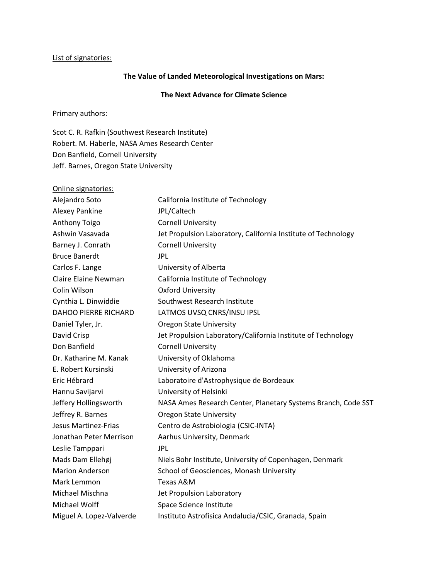## List of signatories:

## The Value of Landed Meteorological Investigations on Mars:

## The Next Advance for Climate Science

Primary authors:

Scot C. R. Rafkin (Southwest Research Institute) Robert. M. Haberle, NASA Ames Research Center Don Banfield, Cornell University Jeff. Barnes, Oregon State University

| Online signatories:         |                                                               |
|-----------------------------|---------------------------------------------------------------|
| Alejandro Soto              | California Institute of Technology                            |
| Alexey Pankine              | JPL/Caltech                                                   |
| Anthony Toigo               | <b>Cornell University</b>                                     |
| Ashwin Vasavada             | Jet Propulsion Laboratory, California Institute of Technology |
| Barney J. Conrath           | <b>Cornell University</b>                                     |
| <b>Bruce Banerdt</b>        | JPL.                                                          |
| Carlos F. Lange             | University of Alberta                                         |
| <b>Claire Elaine Newman</b> | California Institute of Technology                            |
| Colin Wilson                | <b>Oxford University</b>                                      |
| Cynthia L. Dinwiddie        | Southwest Research Institute                                  |
| <b>DAHOO PIERRE RICHARD</b> | LATMOS UVSQ CNRS/INSU IPSL                                    |
| Daniel Tyler, Jr.           | <b>Oregon State University</b>                                |
| David Crisp                 | Jet Propulsion Laboratory/California Institute of Technology  |
| Don Banfield                | <b>Cornell University</b>                                     |
| Dr. Katharine M. Kanak      | University of Oklahoma                                        |
| E. Robert Kursinski         | University of Arizona                                         |
| Eric Hébrard                | Laboratoire d'Astrophysique de Bordeaux                       |
| Hannu Savijarvi             | University of Helsinki                                        |
| Jeffery Hollingsworth       | NASA Ames Research Center, Planetary Systems Branch, Code SST |
| Jeffrey R. Barnes           | <b>Oregon State University</b>                                |
| <b>Jesus Martinez-Frias</b> | Centro de Astrobiologia (CSIC-INTA)                           |
| Jonathan Peter Merrison     | Aarhus University, Denmark                                    |
| Leslie Tamppari             | <b>JPL</b>                                                    |
| Mads Dam Ellehøj            | Niels Bohr Institute, University of Copenhagen, Denmark       |
| <b>Marion Anderson</b>      | School of Geosciences, Monash University                      |
| Mark Lemmon                 | Texas A&M                                                     |
| Michael Mischna             | Jet Propulsion Laboratory                                     |
| Michael Wolff               | Space Science Institute                                       |
| Miguel A. Lopez-Valverde    | Instituto Astrofisica Andalucia/CSIC, Granada, Spain          |